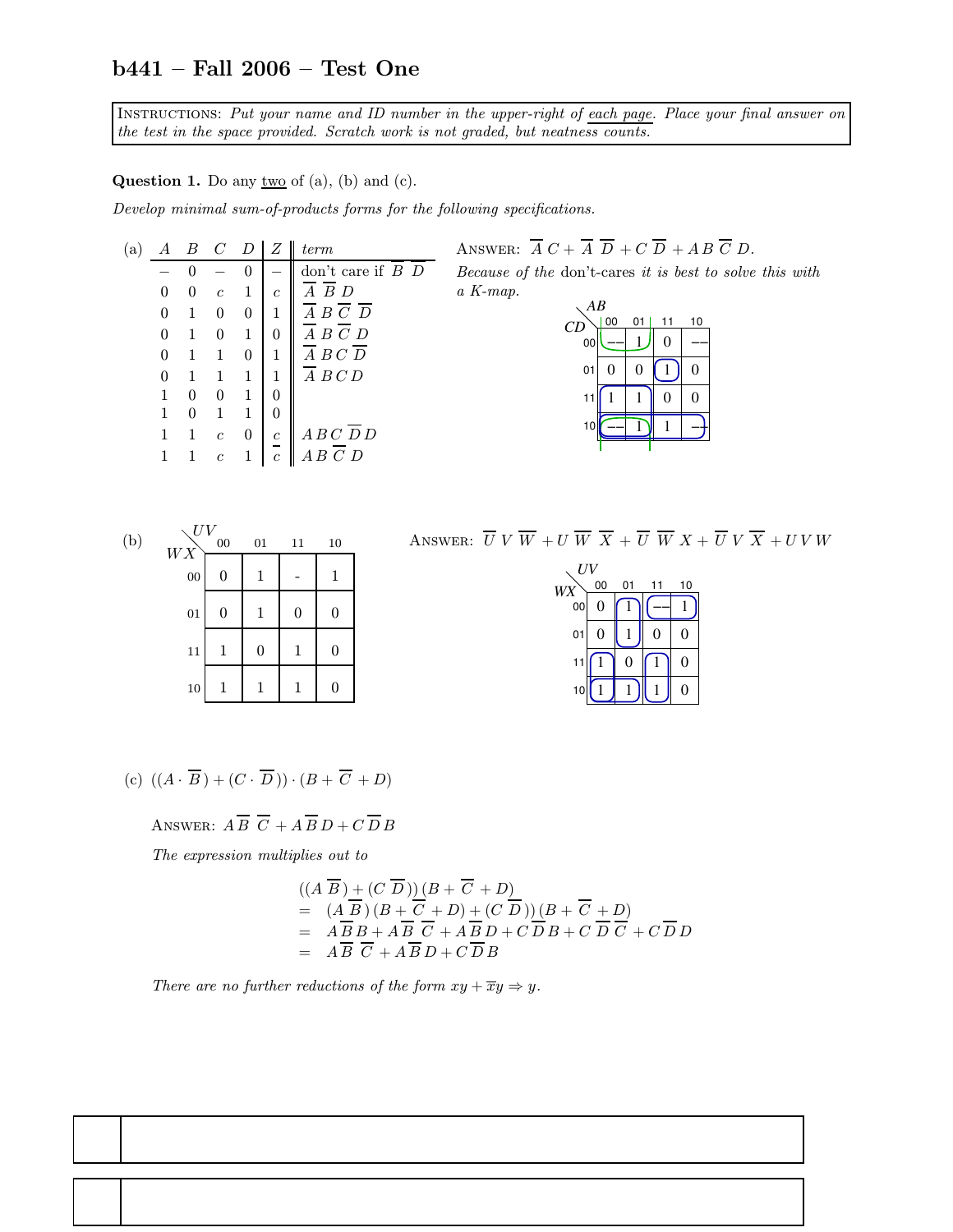## b441 – Fall 2006 – Test One

Instructions: Put your name and ID number in the upper-right of each page. Place your final answer on the test in the space provided. Scratch work is not graded, but neatness counts.

**Question 1.** Do any  $\underline{two}$  of (a), (b) and (c).

Develop minimal sum-of-products forms for the following specifications.

| (a) | А | B | $C$ D          |          | Z                | term                             |
|-----|---|---|----------------|----------|------------------|----------------------------------|
|     |   | 0 |                |          |                  | don't care if $B$ $D$            |
|     | O | 0 | $\mathfrak{c}$ | 1        | $\mathfrak c$    | BD                               |
|     | 0 |   | 0              | $\theta$ | 1                | $A \ B \ \bar{C} \ \overline{D}$ |
|     |   | 1 |                | 1        | 0                | $A \ B \ C \ D$                  |
|     | 0 |   |                | 0        | 1                | $A$ $B$ $C$ $D$                  |
|     |   |   |                | 1        | 1                | A B C D                          |
|     |   |   |                | 1        |                  |                                  |
|     |   |   |                | 1        |                  |                                  |
|     |   | 1 | $\mathfrak{c}$ | 0        | $\boldsymbol{c}$ | ABCDD                            |
|     |   |   | $\overline{c}$ |          | $\overline{c}$   | $\overline{C}$ D                 |
|     |   |   |                |          |                  |                                  |

ANSWER:  $\overline{A} C + \overline{A} \overline{D} + C \overline{D} + AB \overline{C} D$ . Because of the don't-cares it is best to solve this with a K-map.

| $\overline{AB}$ |    |                |                  |    |  |  |  |  |  |
|-----------------|----|----------------|------------------|----|--|--|--|--|--|
| CD              | 00 | 01             | 11               | 10 |  |  |  |  |  |
| 00              |    |                | $\boldsymbol{0}$ |    |  |  |  |  |  |
| 01              | 0  | $\overline{0}$ |                  | 0  |  |  |  |  |  |
| 11              |    |                | 0                | 0  |  |  |  |  |  |
| 10              |    |                |                  |    |  |  |  |  |  |
|                 |    |                |                  |    |  |  |  |  |  |



ANSWER:  $\overline{U} V \overline{W} + U \overline{W} \overline{X} + \overline{U} \overline{W} X + \overline{U} V \overline{X} + U V W$ 

| UV |    |    |    |    |  |  |  |  |  |  |
|----|----|----|----|----|--|--|--|--|--|--|
| WX | 00 | 01 | 11 | 10 |  |  |  |  |  |  |
| 00 | 0  |    |    |    |  |  |  |  |  |  |
| 01 | 0  |    | 0  | 0  |  |  |  |  |  |  |
| 11 |    | 0  | 1  | 0  |  |  |  |  |  |  |
| 10 |    |    |    | 0  |  |  |  |  |  |  |

(c) 
$$
((A \cdot \overline{B}) + (C \cdot \overline{D})) \cdot (B + \overline{C} + D)
$$

ANSWER:  $A \overline{B} \overline{C} + A \overline{B} D + C \overline{D} B$ 

The expression multiplies out to

$$
((A \overline{B}) + (C \overline{D})) (B + \overline{C} + D)
$$
  
=  $(A \overline{B})(B + \overline{C} + D) + (C \overline{D})) (B + \overline{C} + D)$   
=  $A \overline{B} B + A \overline{B} \overline{C} + A \overline{B} D + C \overline{D} B + C \overline{D} \overline{C} + C \overline{D} D$   
=  $A \overline{B} \overline{C} + A \overline{B} D + C \overline{D} B$ 

There are no further reductions of the form  $xy + \overline{x}y \Rightarrow y$ .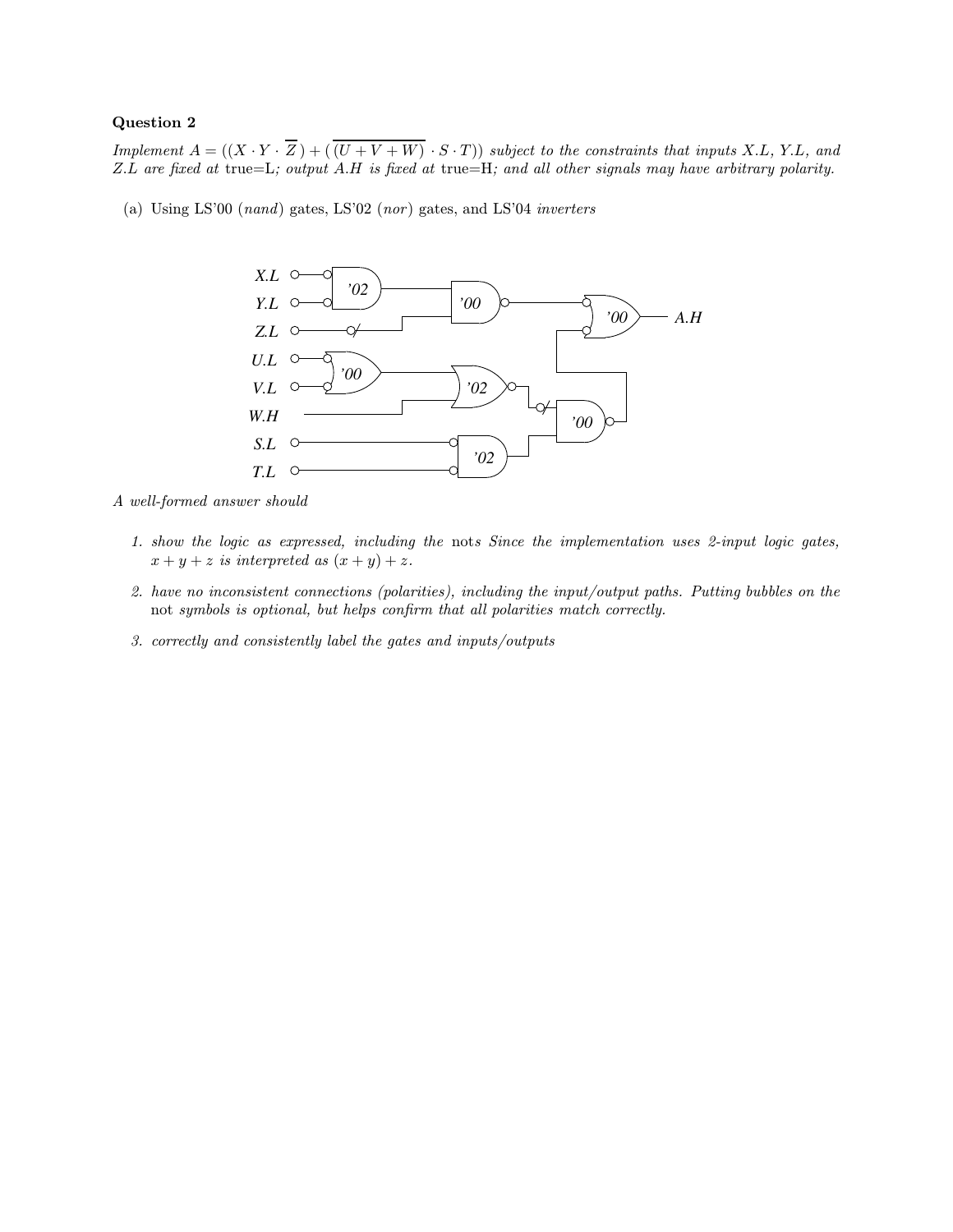## Question 2

Implement  $A = ((X \cdot Y \cdot \overline{Z}) + (\overline{(U + V + W)} \cdot S \cdot T))$  subject to the constraints that inputs X.L, Y.L, and Z.L are fixed at true=L; output A.H is fixed at true=H; and all other signals may have arbitrary polarity.

(a) Using LS'00 (nand) gates, LS'02 (nor ) gates, and LS'04 inverters



A well-formed answer should

- 1. show the logic as expressed, including the nots Since the implementation uses 2-input logic gates,  $x + y + z$  is interpreted as  $(x + y) + z$ .
- 2. have no inconsistent connections (polarities), including the input/output paths. Putting bubbles on the not symbols is optional, but helps confirm that all polarities match correctly.
- 3. correctly and consistently label the gates and inputs/outputs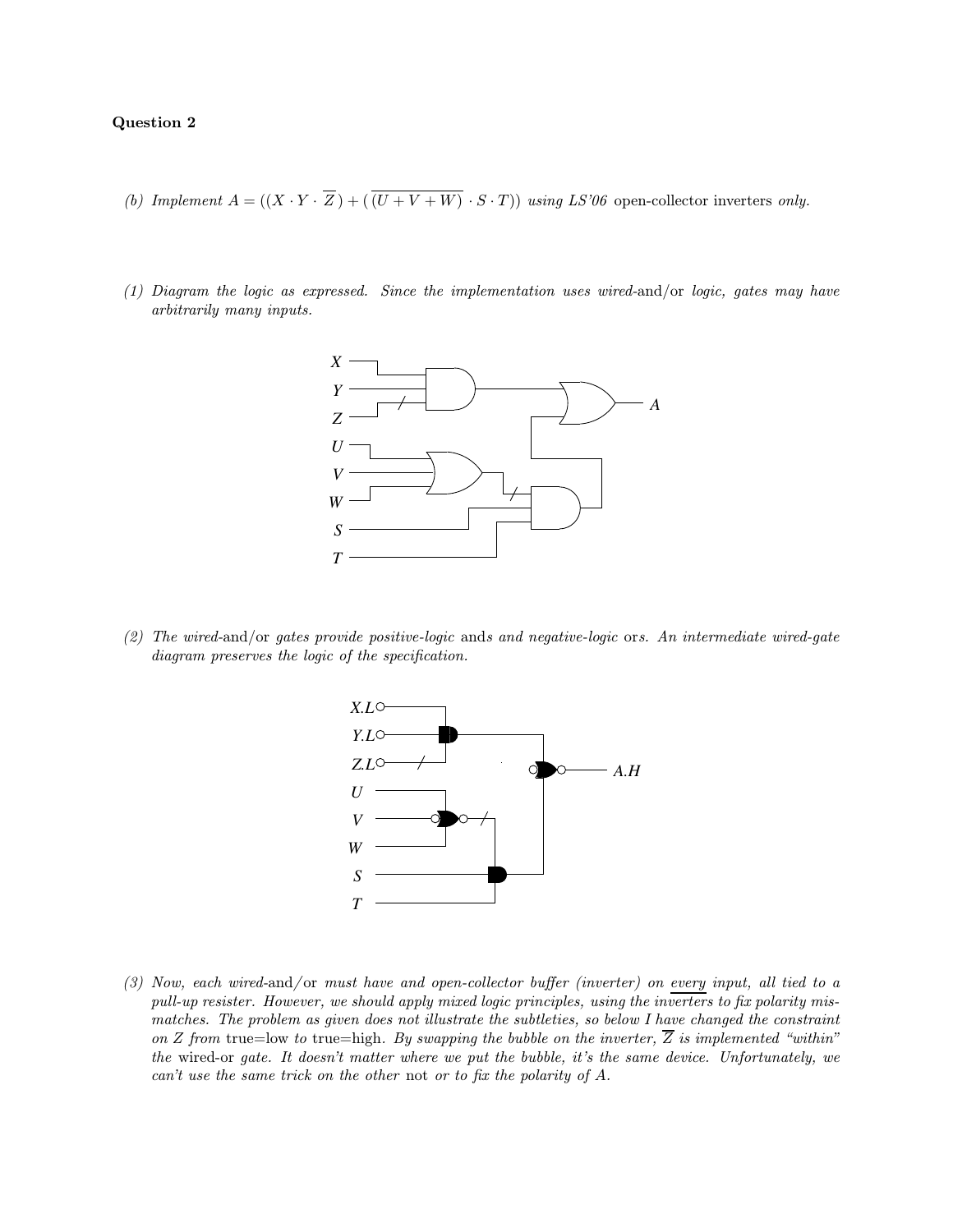## Question 2

- (b) Implement  $A = ((X \cdot Y \cdot \overline{Z}) + (\overline{(U + V + W)} \cdot S \cdot T))$  using LS'06 open-collector inverters only.
- (1) Diagram the logic as expressed. Since the implementation uses wired-and/or logic, gates may have arbitrarily many inputs.



(2) The wired-and/or gates provide positive-logic ands and negative-logic ors. An intermediate wired-gate diagram preserves the logic of the specification.



(3) Now, each wired-and/or must have and open-collector buffer (inverter) on every input, all tied to a pull-up resister. However, we should apply mixed logic principles, using the inverters to fix polarity mismatches. The problem as given does not illustrate the subtleties, so below I have changed the constraint on Z from true=low to true=high. By swapping the bubble on the inverter,  $\overline{Z}$  is implemented "within" the wired-or gate. It doesn't matter where we put the bubble, it's the same device. Unfortunately, we can't use the same trick on the other not or to fix the polarity of A.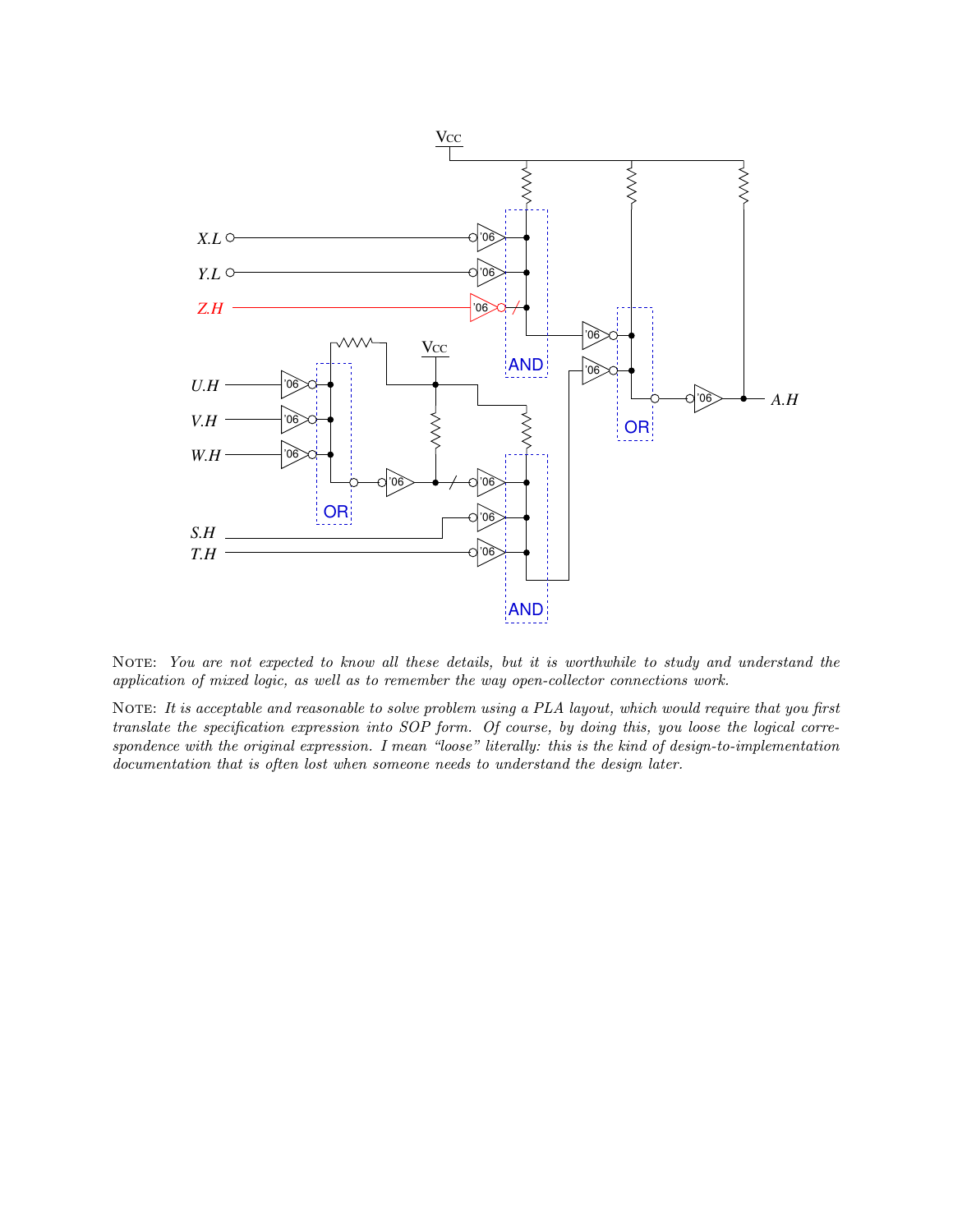

NOTE: You are not expected to know all these details, but it is worthwhile to study and understand the application of mixed logic, as well as to remember the way open-collector connections work.

NOTE: It is acceptable and reasonable to solve problem using a PLA layout, which would require that you first translate the specification expression into SOP form. Of course, by doing this, you loose the logical correspondence with the original expression. I mean "loose" literally: this is the kind of design-to-implementation documentation that is often lost when someone needs to understand the design later.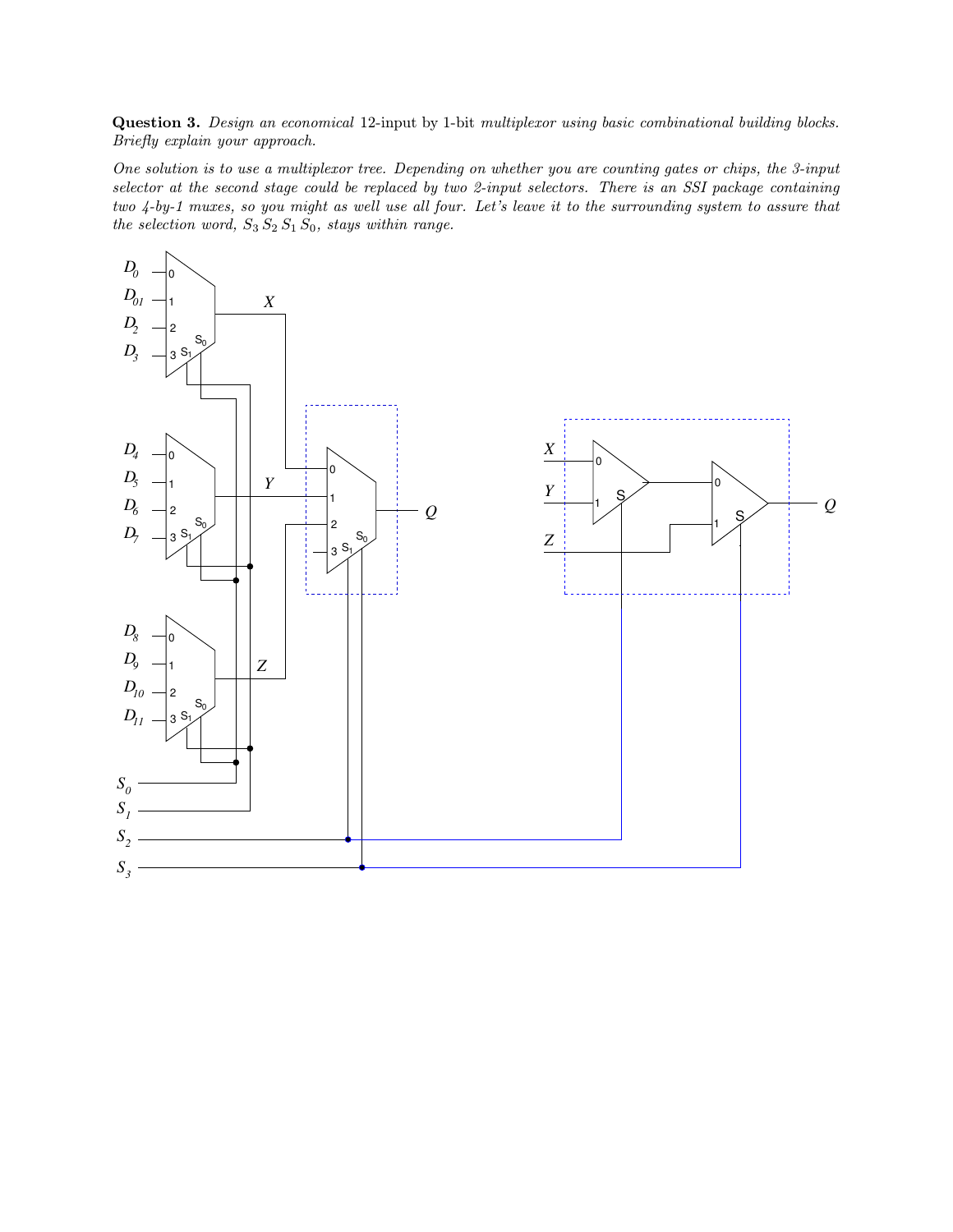Question 3. Design an economical 12-input by 1-bit multiplexor using basic combinational building blocks. Briefly explain your approach.

One solution is to use a multiplexor tree. Depending on whether you are counting gates or chips, the 3-input selector at the second stage could be replaced by two 2-input selectors. There is an SSI package containing two 4-by-1 muxes, so you might as well use all four. Let's leave it to the surrounding system to assure that the selection word,  $S_3 S_2 S_1 S_0$ , stays within range.